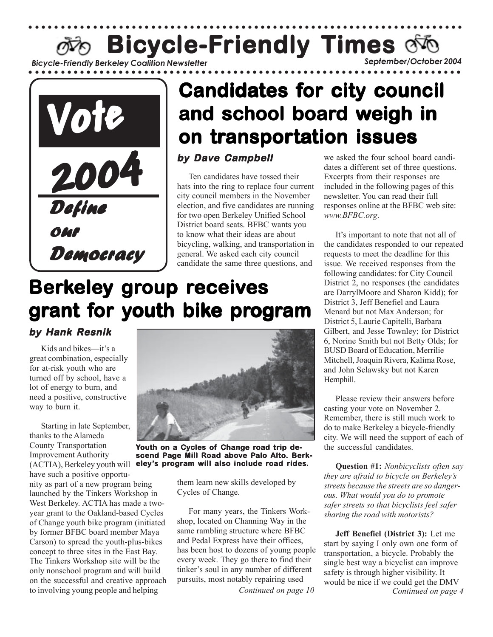*Bicycle-Friendly Berkeley Coalition Newsletter September/October 2004* **Bicycle-Friendly Times** of

○○○○○○○○○○○○○○○○○○○○○○○○○○○ ○○○○○○○○○○○○○○○○○○○○○○○○○○○○○○○○○○○○○○○○○



# **Candidates for city council and school board weigh in on transportation issues tion issues**

#### **by Dave Campbell by Dave Campbell**

Ten candidates have tossed their hats into the ring to replace four current city council members in the November election, and five candidates are running for two open Berkeley Unified School District board seats. BFBC wants you to know what their ideas are about bicycling, walking, and transportation in general. We asked each city council candidate the same three questions, and

# **Berkeley group receives** grant for youth bike program

#### **by Hank Resnik**

Kids and bikes—it's a great combination, especially for at-risk youth who are turned off by school, have a lot of energy to burn, and need a positive, constructive way to burn it.

Starting in late September, thanks to the Alameda County Transportation Improvement Authority (ACTIA), Berkeley youth will

have such a positive opportunity as part of a new program being launched by the Tinkers Workshop in West Berkeley. ACTIA has made a twoyear grant to the Oakland-based Cycles of Change youth bike program (initiated by former BFBC board member Maya Carson) to spread the youth-plus-bikes concept to three sites in the East Bay. The Tinkers Workshop site will be the only nonschool program and will build on the successful and creative approach to involving young people and helping



**Youth on a Cycles of Change road trip descend Page Mill Road above Palo Alto. Berkeley's program will also include road rides.**

them learn new skills developed by Cycles of Change.

For many years, the Tinkers Workshop, located on Channing Way in the same rambling structure where BFBC and Pedal Express have their offices, has been host to dozens of young people every week. They go there to find their tinker's soul in any number of different pursuits, most notably repairing used

we asked the four school board candidates a different set of three questions. Excerpts from their responses are included in the following pages of this newsletter. You can read their full responses online at the BFBC web site: *www.BFBC.org*.

It's important to note that not all of the candidates responded to our repeated requests to meet the deadline for this issue. We received responses from the following candidates: for City Council District 2, no responses (the candidates are DarrylMoore and Sharon Kidd); for District 3, Jeff Benefiel and Laura Menard but not Max Anderson; for District 5, Laurie Capitelli, Barbara Gilbert, and Jesse Townley; for District 6, Norine Smith but not Betty Olds; for BUSD Board of Education, Merrilie Mitchell, Joaquin Rivera, Kalima Rose, and John Selawsky but not Karen Hemphill.

Please review their answers before casting your vote on November 2. Remember, there is still much work to do to make Berkeley a bicycle-friendly city. We will need the support of each of the successful candidates.

**Question #1:** *Nonbicyclists often say they are afraid to bicycle on Berkeley's streets because the streets are so dangerous. What would you do to promote safer streets so that bicyclists feel safer sharing the road with motorists?*

**Jeff Benefiel (District 3):** Let me start by saying I only own one form of transportation, a bicycle. Probably the single best way a bicyclist can improve safety is through higher visibility. It would be nice if we could get the DMV *Continued on page 10 Continued on page 4*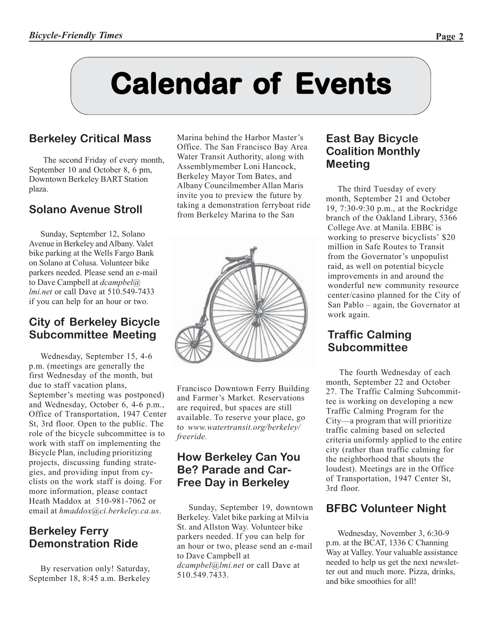# **Calendar of Calendar of Calendar of Events**

## **Berkeley Critical Mass**

The second Friday of every month, September 10 and October 8, 6 pm, Downtown Berkeley BART Station plaza.

## **Solano Avenue Stroll**

Sunday, September 12, Solano Avenue in Berkeley and Albany. Valet bike parking at the Wells Fargo Bank on Solano at Colusa. Volunteer bike parkers needed. Please send an e-mail to Dave Campbell at *dcampbel@ lmi.net* or call Dave at 510.549-7433 if you can help for an hour or two.

#### **City of Berkeley Bicycle Subcommittee Meeting**

Wednesday, September 15, 4-6 p.m. (meetings are generally the first Wednesday of the month, but due to staff vacation plans, September's meeting was postponed) and Wednesday, October 6, 4-6 p.m., Office of Transportation, 1947 Center St, 3rd floor. Open to the public. The role of the bicycle subcommittee is to work with staff on implementing the Bicycle Plan, including prioritizing projects, discussing funding strategies, and providing input from cyclists on the work staff is doing. For more information, please contact Heath Maddox at 510-981-7062 or email at *hmaddox@ci.berkeley.ca.us*.

#### **Berkeley Ferry Demonstration Ride**

By reservation only! Saturday, September 18, 8:45 a.m. Berkeley Marina behind the Harbor Master's Office. The San Francisco Bay Area Water Transit Authority, along with Assemblymember Loni Hancock, Berkeley Mayor Tom Bates, and Albany Councilmember Allan Maris invite you to preview the future by taking a demonstration ferryboat ride from Berkeley Marina to the San



Francisco Downtown Ferry Building and Farmer's Market. Reservations are required, but spaces are still available. To reserve your place, go to *www.watertransit.org/berkeley/ freeride.*

#### **How Berkeley Can You Be? Parade and Car-Free Day in Berkeley**

Sunday, September 19, downtown Berkeley. Valet bike parking at Milvia St. and Allston Way. Volunteer bike parkers needed. If you can help for an hour or two, please send an e-mail to Dave Campbell at *dcampbel@lmi.net* or call Dave at 510.549.7433.

#### **East Bay Bicycle Coalition Monthly Meeting**

The third Tuesday of every month, September 21 and October 19, 7:30-9:30 p.m., at the Rockridge branch of the Oakland Library, 5366 College Ave. at Manila. EBBC is working to preserve bicyclists' \$20 million in Safe Routes to Transit from the Governator's unpopulist raid, as well on potential bicycle improvements in and around the wonderful new community resource center/casino planned for the City of San Pablo – again, the Governator at work again.

#### **Traffic Calming Subcommittee**

The fourth Wednesday of each month, September 22 and October 27. The Traffic Calming Subcommittee is working on developing a new Traffic Calming Program for the City—a program that will prioritize traffic calming based on selected criteria uniformly applied to the entire city (rather than traffic calming for the neighborhood that shouts the loudest). Meetings are in the Office of Transportation, 1947 Center St, 3rd floor.

## **BFBC Volunteer Night**

Wednesday, November 3, 6:30-9 p.m. at the BCAT, 1336 C Channing Way at Valley. Your valuable assistance needed to help us get the next newsletter out and much more. Pizza, drinks, and bike smoothies for all!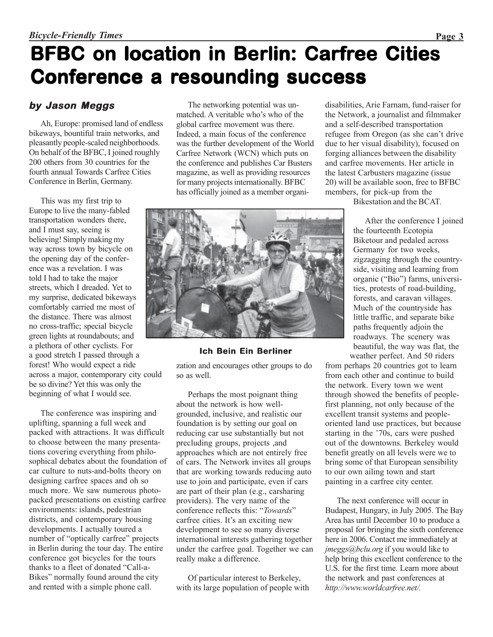## **BFBC on location in Berlin: Carfree Cities Conference a resounding success**

#### **by Jason Meggs**

Ah, Europe: promised land of endless bikeways, bountiful train networks, and pleasantly people-scaled neighborhoods. On behalf of the BFBC, I joined roughly 200 others from 30 countries for the fourth annual Towards Carfree Cities Conference in Berlin, Germany.

This was my first trip to Europe to live the many-fabled transportation wonders there, and I must say, seeing is believing! Simply making my way across town by bicycle on the opening day of the conference was a revelation. I was told I had to take the major streets, which I dreaded. Yet to my surprise, dedicated bikeways comfortably carried me most of the distance. There was almost no cross-traffic; special bicycle green lights at roundabouts; and a plethora of other cyclists. For a good stretch I passed through a forest! Who would expect a ride across a major, contemporary city could be so divine? Yet this was only the beginning of what I would see.

The conference was inspiring and uplifting, spanning a full week and packed with attractions. It was difficult to choose between the many presentations covering everything from philosophical debates about the foundation of car culture to nuts-and-bolts theory on designing carfree spaces and oh so much more. We saw numerous photopacked presentations on existing carfree environments: islands, pedestrian districts, and contemporary housing developments. I actually toured a number of "optically carfree" projects in Berlin during the tour day. The entire conference got bicycles for the tours thanks to a fleet of donated "Call-a-Bikes" normally found around the city and rented with a simple phone call.

The networking potential was unmatched. A veritable who's who of the global carfree movement was there. Indeed, a main focus of the conference was the further development of the World Carfree Network (WCN) which puts on the conference and publishes Car Busters magazine, as well as providing resources for many projects internationally. BFBC has officially joined as a member organidisabilities, Arie Farnam, fund-raiser for the Network, a journalist and filmmaker and a self-described transportation refugee from Oregon (as she can't drive due to her visual disability), focused on forging alliances between the disability and carfree movements. Her article in the latest Carbusters magazine (issue 20) will be available soon, free to BFBC members, for pick-up from the

Bikestation and the BCAT.

After the conference I joined the fourteenth Ecotopia Biketour and pedaled across Germany for two weeks, zigzagging through the countryside, visiting and learning from organic ("Bio") farms, universities, protests of road-building, forests, and caravan villages. Much of the countryside has little traffic, and separate bike paths frequently adjoin the roadways. The scenery was beautiful, the way was flat, the weather perfect. And 50 riders

from perhaps 20 countries got to learn from each other and continue to build the network. Every town we went through showed the benefits of peoplefirst planning, not only because of the excellent transit systems and peopleoriented land use practices, but because starting in the '70s, cars were pushed out of the downtowns. Berkeley would benefit greatly on all levels were we to bring some of that European sensibility to our own ailing town and start painting in a carfree city center.

The next conference will occur in Budapest, Hungary, in July 2005. The Bay Area has until December 10 to produce a proposal for bringing the sixth conference here in 2006. Contact me immediately at *jmeggs@bclu.org* if you would like to help bring this excellent conference to the U.S. for the first time. Learn more about the network and past conferences at *http://www.worldcarfree.net/.*

#### **Ich Bein Ein Berliner**

zation and encourages other groups to do so as well.

Perhaps the most poignant thing about the network is how wellgrounded, inclusive, and realistic our foundation is by setting our goal on reducing car use substantially but not precluding groups, projects ,and approaches which are not entirely free of cars. The Network invites all groups that are working towards reducing auto use to join and participate, even if cars are part of their plan (e.g., carsharing providers). The very name of the conference reflects this: "*Towards*" carfree cities. It's an exciting new development to see so many diverse international interests gathering together under the carfree goal. Together we can really make a difference.

Of particular interest to Berkeley, with its large population of people with

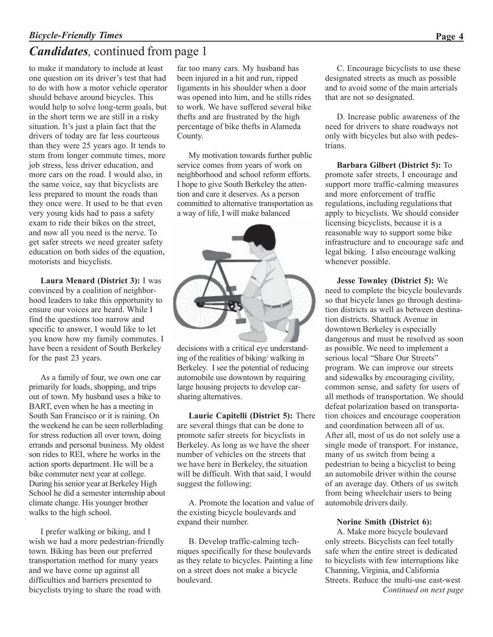## *Candidates,* continued from page 1

to make it mandatory to include at least one question on its driver's test that had to do with how a motor vehicle operator should behave around bicycles. This would help to solve long-term goals, but in the short term we are still in a risky situation. It's just a plain fact that the drivers of today are far less courteous than they were 25 years ago. It tends to stem from longer commute times, more job stress, less driver education, and more cars on the road. I would also, in the same voice, say that bicyclists are less prepared to mount the roads than they once were. It used to be that even very young kids had to pass a safety exam to ride their bikes on the street, and now all you need is the nerve. To get safer streets we need greater safety education on both sides of the equation, motorists and bicyclists.

**Laura Menard (District 3):** I was convinced by a coalition of neighborhood leaders to take this opportunity to ensure our voices are heard. While I find the questions too narrow and specific to answer, I would like to let you know how my family commutes. I have been a resident of South Berkeley for the past 23 years.

As a family of four, we own one car primarily for loads, shopping, and trips out of town. My husband uses a bike to BART, even when he has a meeting in South San Francisco or it is raining. On the weekend he can be seen rollerblading for stress reduction all over town, doing errands and personal business. My oldest son rides to REI, where he works in the action sports department. He will be a bike commuter next year at college. During his senior year at Berkeley High School he did a semester internship about climate change. His younger brother walks to the high school.

I prefer walking or biking, and I wish we had a more pedestrian-friendly town. Biking has been our preferred transportation method for many years and we have come up against all difficulties and barriers presented to bicyclists trying to share the road with

far too many cars. My husband has been injured in a hit and run, ripped ligaments in his shoulder when a door was opened into him, and he stills rides to work. We have suffered several bike thefts and are frustrated by the high percentage of bike thefts in Alameda County.

My motivation towards further public service comes from years of work on neighborhood and school reform efforts. I hope to give South Berkeley the attention and care it deserves. As a person committed to alternative transportation as a way of life, I will make balanced



decisions with a critical eye understanding of the realities of biking/ walking in Berkeley. I see the potential of reducing automobile use downtown by requiring large housing projects to develop carsharing alternatives.

**Laurie Capitelli (District 5):** There are several things that can be done to promote safer streets for bicyclists in Berkeley. As long as we have the sheer number of vehicles on the streets that we have here in Berkeley, the situation will be difficult. With that said, I would suggest the following:

A. Promote the location and value of the existing bicycle boulevards and expand their number.

B. Develop traffic-calming techniques specifically for these boulevards as they relate to bicycles. Painting a line on a street does not make a bicycle boulevard.

C. Encourage bicyclists to use these designated streets as much as possible and to avoid some of the main arterials that are not so designated.

D. Increase public awareness of the need for drivers to share roadways not only with bicycles but also with pedestrians.

**Barbara Gilbert (District 5):** To promote safer streets, I encourage and support more traffic-calming measures and more enforcement of traffic regulations, including regulations that apply to bicyclists. We should consider licensing bicyclists, because it is a reasonable way to support some bike infrastructure and to encourage safe and legal biking. I also encourage walking whenever possible.

**Jesse Townley (District 5):** We need to complete the bicycle boulevards so that bicycle lanes go through destination districts as well as between destination districts. Shattuck Avenue in downtown Berkeley is especially dangerous and must be resolved as soon as possible. We need to implement a serious local "Share Our Streets" program. We can improve our streets and sidewalks by encouraging civility, common sense, and safety for users of all methods of transportation. We should defeat polarization based on transportation choices and encourage cooperation and coordination between all of us. After all, most of us do not solely use a single mode of transport. For instance, many of us switch from being a pedestrian to being a bicyclist to being an automobile driver within the course of an average day. Others of us switch from being wheelchair users to being automobile drivers daily.

#### **Norine Smith (District 6):**

A. Make more bicycle boulevard only streets. Bicyclists can feel totally safe when the entire street is dedicated to bicyclists with few interruptions like Channing, Virginia, and California Streets. Reduce the multi-use east-west *Continued on next page*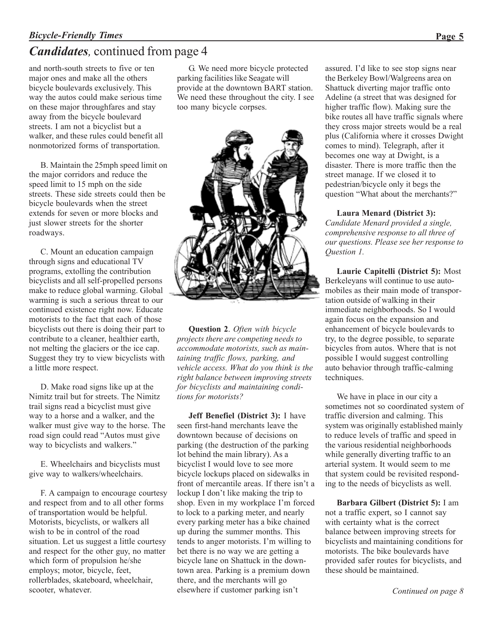#### *Bicycle-Friendly Times* **Page 5**

## *Candidates,* continued from page 4

and north-south streets to five or ten major ones and make all the others bicycle boulevards exclusively. This way the autos could make serious time on these major throughfares and stay away from the bicycle boulevard streets. I am not a bicyclist but a walker, and these rules could benefit all nonmotorized forms of transportation.

B. Maintain the 25mph speed limit on the major corridors and reduce the speed limit to 15 mph on the side streets. These side streets could then be bicycle boulevards when the street extends for seven or more blocks and just slower streets for the shorter roadways.

C. Mount an education campaign through signs and educational TV programs, extolling the contribution bicyclists and all self-propelled persons make to reduce global warming. Global warming is such a serious threat to our continued existence right now. Educate motorists to the fact that each of those bicyclists out there is doing their part to contribute to a cleaner, healthier earth, not melting the glaciers or the ice cap. Suggest they try to view bicyclists with a little more respect.

D. Make road signs like up at the Nimitz trail but for streets. The Nimitz trail signs read a bicyclist must give way to a horse and a walker, and the walker must give way to the horse. The road sign could read "Autos must give way to bicyclists and walkers."

E. Wheelchairs and bicyclists must give way to walkers/wheelchairs.

F. A campaign to encourage courtesy and respect from and to all other forms of transportation would be helpful. Motorists, bicyclists, or walkers all wish to be in control of the road situation. Let us suggest a little courtesy and respect for the other guy, no matter which form of propulsion he/she employs; motor, bicycle, feet, rollerblades, skateboard, wheelchair, scooter, whatever.

G. We need more bicycle protected parking facilities like Seagate will provide at the downtown BART station. We need these throughout the city. I see too many bicycle corpses.



**Question 2**. *Often with bicycle projects there are competing needs to accommodate motorists, such as maintaining traffic flows, parking, and vehicle access. What do you think is the right balance between improving streets for bicyclists and maintaining conditions for motorists?*

**Jeff Benefiel (District 3):** I have seen first-hand merchants leave the downtown because of decisions on parking (the destruction of the parking lot behind the main library). As a bicyclist I would love to see more bicycle lockups placed on sidewalks in front of mercantile areas. If there isn't a lockup I don't like making the trip to shop. Even in my workplace I'm forced to lock to a parking meter, and nearly every parking meter has a bike chained up during the summer months. This tends to anger motorists. I'm willing to bet there is no way we are getting a bicycle lane on Shattuck in the downtown area. Parking is a premium down there, and the merchants will go elsewhere if customer parking isn't

assured. I'd like to see stop signs near the Berkeley Bowl/Walgreens area on Shattuck diverting major traffic onto Adeline (a street that was designed for higher traffic flow). Making sure the bike routes all have traffic signals where they cross major streets would be a real plus (California where it crosses Dwight comes to mind). Telegraph, after it becomes one way at Dwight, is a disaster. There is more traffic then the street manage. If we closed it to pedestrian/bicycle only it begs the question "What about the merchants?"

#### **Laura Menard (District 3):**

*Candidate Menard provided a single, comprehensive response to all three of our questions. Please see her response to Question 1.*

**Laurie Capitelli (District 5):** Most Berkeleyans will continue to use automobiles as their main mode of transportation outside of walking in their immediate neighborhoods. So I would again focus on the expansion and enhancement of bicycle boulevards to try, to the degree possible, to separate bicycles from autos. Where that is not possible I would suggest controlling auto behavior through traffic-calming techniques.

We have in place in our city a sometimes not so coordinated system of traffic diversion and calming. This system was originally established mainly to reduce levels of traffic and speed in the various residential neighborhoods while generally diverting traffic to an arterial system. It would seem to me that system could be revisited responding to the needs of bicyclists as well.

**Barbara Gilbert (District 5):** I am not a traffic expert, so I cannot say with certainty what is the correct balance between improving streets for bicyclists and maintaining conditions for motorists. The bike boulevards have provided safer routes for bicyclists, and these should be maintained.

*Continued on page 8*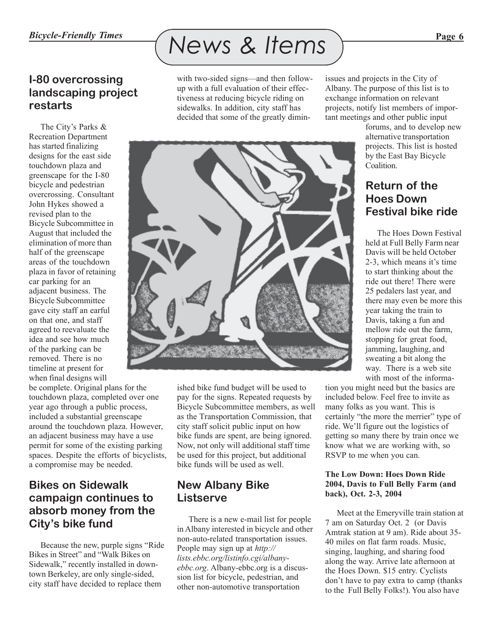# *Bicycle-Friendly Times News & Items Page 6*

with two-sided signs—and then followup with a full evaluation of their effectiveness at reducing bicycle riding on sidewalks. In addition, city staff has decided that some of the greatly dimin-



ished bike fund budget will be used to pay for the signs. Repeated requests by Bicycle Subcommittee members, as well as the Transportation Commission, that city staff solicit public input on how bike funds are spent, are being ignored. Now, not only will additional staff time be used for this project, but additional bike funds will be used as well.

#### **New Albany Bike Listserve**

There is a new e-mail list for people in Albany interested in bicycle and other non-auto-related transportation issues. People may sign up at *http:// lists.ebbc.org/listinfo.cgi/albanyebbc.org*. Albany-ebbc.org is a discussion list for bicycle, pedestrian, and other non-automotive transportation

issues and projects in the City of Albany. The purpose of this list is to exchange information on relevant projects, notify list members of important meetings and other public input

forums, and to develop new alternative transportation projects. This list is hosted by the East Bay Bicycle **Coalition** 

## **Return of the Hoes Down Festival bike ride**

The Hoes Down Festival held at Full Belly Farm near Davis will be held October 2-3, which means it's time to start thinking about the ride out there! There were 25 pedalers last year, and there may even be more this year taking the train to Davis, taking a fun and mellow ride out the farm, stopping for great food, jamming, laughing, and sweating a bit along the way. There is a web site with most of the informa-

tion you might need but the basics are included below. Feel free to invite as many folks as you want. This is certainly "the more the merrier" type of ride. We'll figure out the logistics of getting so many there by train once we know what we are working with, so RSVP to me when you can.

#### **The Low Down: Hoes Down Ride 2004, Davis to Full Belly Farm (and back), Oct. 2-3, 2004**

Meet at the Emeryville train station at 7 am on Saturday Oct. 2 (or Davis Amtrak station at 9 am). Ride about 35- 40 miles on flat farm roads. Music, singing, laughing, and sharing food along the way. Arrive late afternoon at the Hoes Down. \$15 entry. Cyclists don't have to pay extra to camp (thanks to the Full Belly Folks!). You also have

#### **I-80 overcrossing landscaping project restarts**

The City's Parks & Recreation Department has started finalizing designs for the east side touchdown plaza and greenscape for the I-80 bicycle and pedestrian overcrossing. Consultant John Hykes showed a revised plan to the Bicycle Subcommittee in August that included the elimination of more than half of the greenscape areas of the touchdown plaza in favor of retaining car parking for an adjacent business. The Bicycle Subcommittee gave city staff an earful on that one, and staff agreed to reevaluate the idea and see how much of the parking can be removed. There is no timeline at present for when final designs will

be complete. Original plans for the touchdown plaza, completed over one year ago through a public process, included a substantial greenscape around the touchdown plaza. However, an adjacent business may have a use permit for some of the existing parking spaces. Despite the efforts of bicyclists, a compromise may be needed.

#### **Bikes on Sidewalk campaign continues to absorb money from the City's bike fund**

Because the new, purple signs "Ride Bikes in Street" and "Walk Bikes on Sidewalk," recently installed in downtown Berkeley, are only single-sided, city staff have decided to replace them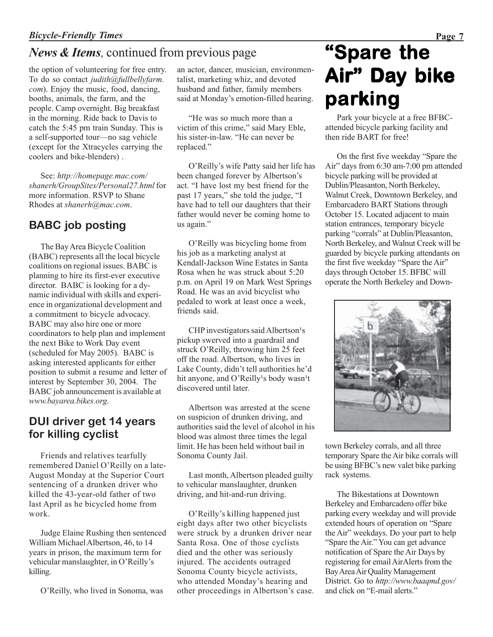## *News & Items,* continued from previous page

the option of volunteering for free entry. To do so contact *judith@fullbellyfarm. com*). Enjoy the music, food, dancing, booths, animals, the farm, and the people. Camp overnight. Big breakfast in the morning. Ride back to Davis to catch the 5:45 pm train Sunday. This is a self-supported tour—no sag vehicle (except for the Xtracycles carrying the coolers and bike-blenders) .

See: *http://homepage.mac.com/ shanerh/GroupSites/Personal27.html* for more information. RSVP to Shane Rhodes at *shanerh@mac.com*.

## **BABC job posting**

The Bay Area Bicycle Coalition (BABC) represents all the local bicycle coalitions on regional issues. BABC is planning to hire its first-ever executive director. BABC is looking for a dynamic individual with skills and experience in organizational development and a commitment to bicycle advocacy. BABC may also hire one or more coordinators to help plan and implement the next Bike to Work Day event (scheduled for May 2005). BABC is asking interested applicants for either position to submit a resume and letter of interest by September 30, 2004. The BABC job announcement is available at *www.bayarea.bikes.org.*

## **DUI driver get 14 years for killing cyclist**

Friends and relatives tearfully remembered Daniel O'Reilly on a late-August Monday at the Superior Court sentencing of a drunken driver who killed the 43-year-old father of two last April as he bicycled home from work.

Judge Elaine Rushing then sentenced William Michael Albertson, 46, to 14 years in prison, the maximum term for vehicular manslaughter, in O'Reilly's killing.

O'Reilly, who lived in Sonoma, was

an actor, dancer, musician, environmentalist, marketing whiz, and devoted husband and father, family members said at Monday's emotion-filled hearing.

"He was so much more than a victim of this crime," said Mary Eble, his sister-in-law. "He can never be replaced."

O'Reilly's wife Patty said her life has been changed forever by Albertson's act. "I have lost my best friend for the past 17 years," she told the judge, "I have had to tell our daughters that their father would never be coming home to us again."

O'Reilly was bicycling home from his job as a marketing analyst at Kendall-Jackson Wine Estates in Santa Rosa when he was struck about 5:20 p.m. on April 19 on Mark West Springs Road. He was an avid bicyclist who pedaled to work at least once a week, friends said.

 $CHP$  investigators said Albertson<sup>1</sup>s pickup swerved into a guardrail and struck O'Reilly, throwing him 25 feet off the road. Albertson, who lives in Lake County, didn't tell authorities he'd hit anyone, and O'Reilly's body wasn<sup>1</sup>t discovered until later.

Albertson was arrested at the scene on suspicion of drunken driving, and authorities said the level of alcohol in his blood was almost three times the legal limit. He has been held without bail in Sonoma County Jail.

Last month, Albertson pleaded guilty to vehicular manslaughter, drunken driving, and hit-and-run driving.

O'Reilly's killing happened just eight days after two other bicyclists were struck by a drunken driver near Santa Rosa. One of those cyclists died and the other was seriously injured. The accidents outraged Sonoma County bicycle activists, who attended Monday's hearing and other proceedings in Albertson's case.

# **"Spare the Air" Day bike parking**

Park your bicycle at a free BFBCattended bicycle parking facility and then ride BART for free!

On the first five weekday "Spare the Air" days from 6:30 am-7:00 pm attended bicycle parking will be provided at Dublin/Pleasanton, North Berkeley, Walnut Creek, Downtown Berkeley, and Embarcadero BART Stations through October 15. Located adjacent to main station entrances, temporary bicycle parking "corrals" at Dublin/Pleasanton, North Berkeley, and Walnut Creek will be guarded by bicycle parking attendants on the first five weekday "Spare the Air" days through October 15. BFBC will operate the North Berkeley and Down-



town Berkeley corrals, and all three temporary Spare the Air bike corrals will be using BFBC's new valet bike parking rack systems.

The Bikestations at Downtown Berkeley and Embarcadero offer bike parking every weekday and will provide extended hours of operation on "Spare the Air" weekdays. Do your part to help "Spare the Air." You can get advance notification of Spare the Air Days by registering for email AirAlerts from the Bay Area Air Quality Management District. Go to *http://www.baaqmd.gov/* and click on "E-mail alerts"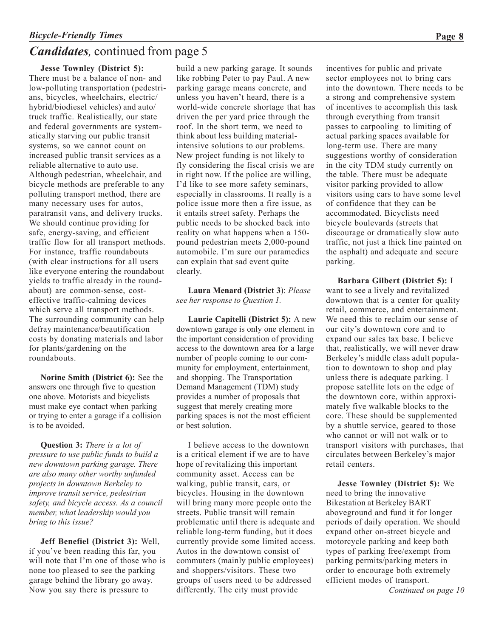## *Candidates,* continued from page 5

**Jesse Townley (District 5):**

There must be a balance of non- and low-polluting transportation (pedestrians, bicycles, wheelchairs, electric/ hybrid/biodiesel vehicles) and auto/ truck traffic. Realistically, our state and federal governments are systematically starving our public transit systems, so we cannot count on increased public transit services as a reliable alternative to auto use. Although pedestrian, wheelchair, and bicycle methods are preferable to any polluting transport method, there are many necessary uses for autos, paratransit vans, and delivery trucks. We should continue providing for safe, energy-saving, and efficient traffic flow for all transport methods. For instance, traffic roundabouts (with clear instructions for all users like everyone entering the roundabout yields to traffic already in the roundabout) are common-sense, costeffective traffic-calming devices which serve all transport methods. The surrounding community can help defray maintenance/beautification costs by donating materials and labor for plants/gardening on the roundabouts.

**Norine Smith (District 6):** See the answers one through five to question one above. Motorists and bicyclists must make eye contact when parking or trying to enter a garage if a collision is to be avoided.

**Question 3:** *There is a lot of pressure to use public funds to build a new downtown parking garage. There are also many other worthy unfunded projects in downtown Berkeley to improve transit service, pedestrian safety, and bicycle access. As a council member, what leadership would you bring to this issue?*

**Jeff Benefiel (District 3):** Well, if you've been reading this far, you will note that I'm one of those who is none too pleased to see the parking garage behind the library go away. Now you say there is pressure to

build a new parking garage. It sounds like robbing Peter to pay Paul. A new parking garage means concrete, and unless you haven't heard, there is a world-wide concrete shortage that has driven the per yard price through the roof. In the short term, we need to think about less building materialintensive solutions to our problems. New project funding is not likely to fly considering the fiscal crisis we are in right now. If the police are willing, I'd like to see more safety seminars, especially in classrooms. It really is a police issue more then a fire issue, as it entails street safety. Perhaps the public needs to be shocked back into reality on what happens when a 150 pound pedestrian meets 2,000-pound automobile. I'm sure our paramedics can explain that sad event quite clearly.

**Laura Menard (District 3**): *Please see her response to Question 1.*

**Laurie Capitelli (District 5):** A new downtown garage is only one element in the important consideration of providing access to the downtown area for a large number of people coming to our community for employment, entertainment, and shopping. The Transportation Demand Management (TDM) study provides a number of proposals that suggest that merely creating more parking spaces is not the most efficient or best solution.

I believe access to the downtown is a critical element if we are to have hope of revitalizing this important community asset. Access can be walking, public transit, cars, or bicycles. Housing in the downtown will bring many more people onto the streets. Public transit will remain problematic until there is adequate and reliable long-term funding, but it does currently provide some limited access. Autos in the downtown consist of commuters (mainly public employees) and shoppers/visitors. These two groups of users need to be addressed differently. The city must provide *Continued on page 10*

incentives for public and private sector employees not to bring cars into the downtown. There needs to be a strong and comprehensive system of incentives to accomplish this task through everything from transit passes to carpooling to limiting of actual parking spaces available for long-term use. There are many suggestions worthy of consideration in the city TDM study currently on the table. There must be adequate visitor parking provided to allow visitors using cars to have some level of confidence that they can be accommodated. Bicyclists need bicycle boulevards (streets that discourage or dramatically slow auto traffic, not just a thick line painted on the asphalt) and adequate and secure parking.

**Barbara Gilbert (District 5):** I want to see a lively and revitalized downtown that is a center for quality retail, commerce, and entertainment. We need this to reclaim our sense of our city's downtown core and to expand our sales tax base. I believe that, realistically, we will never draw Berkeley's middle class adult population to downtown to shop and play unless there is adequate parking. I propose satellite lots on the edge of the downtown core, within approximately five walkable blocks to the core. These should be supplemented by a shuttle service, geared to those who cannot or will not walk or to transport visitors with purchases, that circulates between Berkeley's major retail centers.

**Jesse Townley (District 5):** We need to bring the innovative Bikestation at Berkeley BART aboveground and fund it for longer periods of daily operation. We should expand other on-street bicycle and motorcycle parking and keep both types of parking free/exempt from parking permits/parking meters in order to encourage both extremely efficient modes of transport.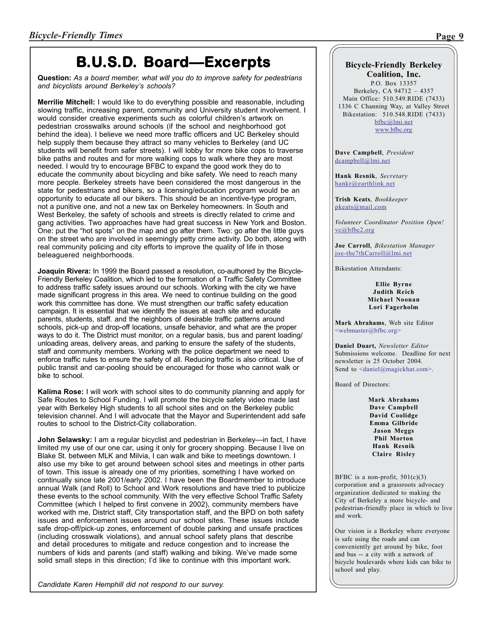## **B.U.S.D. Board—Excerpts**

**Question:** *As a board member, what will you do to improve safety for pedestrians and bicyclists around Berkeley's schools?*

**Merrilie Mitchell:** I would like to do everything possible and reasonable, including slowing traffic, increasing parent, community and University student involvement. I would consider creative experiments such as colorful children's artwork on pedestrian crosswalks around schools (if the school and neighborhood got behind the idea). I believe we need more traffic officers and UC Berkeley should help supply them because they attract so many vehicles to Berkeley (and UC students will benefit from safer streets). I will lobby for more bike cops to traverse bike paths and routes and for more walking cops to walk where they are most needed. I would try to encourage BFBC to expand the good work they do to educate the community about bicycling and bike safety. We need to reach many more people. Berkeley streets have been considered the most dangerous in the state for pedestrians and bikers, so a licensing/education program would be an opportunity to educate all our bikers. This should be an incentive-type program, not a punitive one, and not a new tax on Berkeley homeowners. In South and West Berkeley, the safety of schools and streets is directly related to crime and gang activities. Two approaches have had great success in New York and Boston. One: put the "hot spots" on the map and go after them. Two: go after the little guys on the street who are involved in seemingly petty crime activity. Do both, along with real community policing and city efforts to improve the quality of life in those beleaguered neighborhoods.

**Joaquin Rivera:** In 1999 the Board passed a resolution, co-authored by the Bicycle-Friendly Berkeley Coalition, which led to the formation of a Traffic Safety Committee to address traffic safety issues around our schools. Working with the city we have made significant progress in this area. We need to continue building on the good work this committee has done. We must strengthen our traffic safety education campaign. It is essential that we identify the issues at each site and educate parents, students, staff. and the neighbors of desirable traffic patterns around schools, pick-up and drop-off locations, unsafe behavior, and what are the proper ways to do it. The District must monitor, on a regular basis, bus and parent loading/ unloading areas, delivery areas, and parking to ensure the safety of the students, staff and community members. Working with the police department we need to enforce traffic rules to ensure the safety of all. Reducing traffic is also critical. Use of public transit and car-pooling should be encouraged for those who cannot walk or bike to school.

**Kalima Rose:** I will work with school sites to do community planning and apply for Safe Routes to School Funding. I will promote the bicycle safety video made last year with Berkeley High students to all school sites and on the Berkeley public television channel. And I will advocate that the Mayor and Superintendent add safe routes to school to the District-City collaboration.

**John Selawsky:** I am a regular bicyclist and pedestrian in Berkeley—in fact, I have limited my use of our one car, using it only for grocery shopping. Because I live on Blake St. between MLK and Milvia, I can walk and bike to meetings downtown. I also use my bike to get around between school sites and meetings in other parts of town. This issue is already one of my priorities, something I have worked on continually since late 2001/early 2002. I have been the Boardmember to introduce annual Walk (and Roll) to School and Work resolutions and have tried to publicize these events to the school community. With the very effective School Traffic Safety Committee (which I helped to first convene in 2002), community members have worked with me, District staff, City transportation staff, and the BPD on both safety issues and enforcement issues around our school sites. These issues include safe drop-off/pick-up zones, enforcement of double parking and unsafe practices (including crosswalk violations), and annual school safety plans that describe and detail procedures to mitigate and reduce congestion and to increase the numbers of kids and parents (and staff) walking and biking. We've made some solid small steps in this direction; I'd like to continue with this important work.

*Candidate Karen Hemphill did not respond to our survey.*

## **Bicycle-Friendly Berkeley**

**Coalition, Inc.** P.O. Box 13357 Berkeley, CA 94712 – 4357 Main Office: 510.549.RIDE (7433) 1336 C Channing Way, at Valley Street Bikestation: 510.548.RIDE (7433) bfbc@lmi.net

www.bfbc.org

**Dave Campbell**, *President* dcampbell@lmi.net

**Hank Resnik**, *Secretary* hankr@earthlink.net

**Trish Keats**, *Bookkeeper* pkeats@mail.com

*Volunteer Coordinator Position Open!* vc@bfbc2.org

**Joe Carroll**, *Bikestation Manager* joe-the7thCarroll@lmi.net

Bikestation Attendants:

#### **Ellie Byrne Judith Reich Michael Noonan Lori Fagerholm**

**Mark Abrahams**, Web site Editor <webmaster@bfbc.org>

**Daniel Duart,** *Newsletter Editor* Submissions welcome. Deadline for next newsletter is 25 October 2004. Send to  $\alpha$  aniel@magickhat.com>.

Board of Directors:

**Mark Abrahams Dave Campbell David Coolidge Emma Gilbride Jason Meggs Phil Morton Hank Resnik Claire Risley**

BFBC is a non-profit, 501(c)(3) corporation and a grassroots advocacy organization dedicated to making the City of Berkeley a more bicycle- and pedestrian-friendly place in which to live and work.

Our vision is a Berkeley where everyone is safe using the roads and can conveniently get around by bike, foot and bus -- a city with a network of bicycle boulevards where kids can bike to school and play.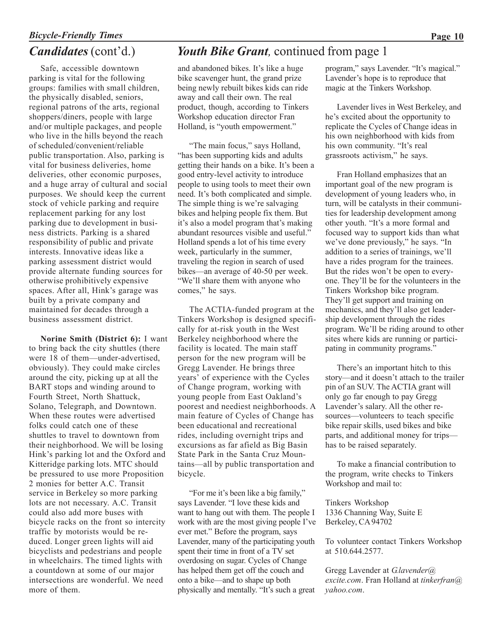## *Bicycle-Friendly Times* **Page 10** *Candidates* (cont'd.)

Safe, accessible downtown parking is vital for the following groups: families with small children, the physically disabled, seniors, regional patrons of the arts, regional shoppers/diners, people with large and/or multiple packages, and people who live in the hills beyond the reach of scheduled/convenient/reliable public transportation. Also, parking is vital for business deliveries, home deliveries, other economic purposes, and a huge array of cultural and social purposes. We should keep the current stock of vehicle parking and require replacement parking for any lost parking due to development in business districts. Parking is a shared responsibility of public and private interests. Innovative ideas like a parking assessment district would provide alternate funding sources for otherwise prohibitively expensive spaces. After all, Hink's garage was built by a private company and maintained for decades through a business assessment district.

**Norine Smith (District 6):** I want to bring back the city shuttles (there were 18 of them—under-advertised, obviously). They could make circles around the city, picking up at all the BART stops and winding around to Fourth Street, North Shattuck, Solano, Telegraph, and Downtown. When these routes were advertised folks could catch one of these shuttles to travel to downtown from their neighborhood. We will be losing Hink's parking lot and the Oxford and Kitteridge parking lots. MTC should be pressured to use more Proposition 2 monies for better A.C. Transit service in Berkeley so more parking lots are not necessary. A.C. Transit could also add more buses with bicycle racks on the front so intercity traffic by motorists would be reduced. Longer green lights will aid bicyclists and pedestrians and people in wheelchairs. The timed lights with a countdown at some of our major intersections are wonderful. We need more of them.

## *Youth Bike Grant,* continued from page 1

and abandoned bikes. It's like a huge bike scavenger hunt, the grand prize being newly rebuilt bikes kids can ride away and call their own. The real product, though, according to Tinkers Workshop education director Fran Holland, is "youth empowerment."

"The main focus," says Holland, "has been supporting kids and adults getting their hands on a bike. It's been a good entry-level activity to introduce people to using tools to meet their own need. It's both complicated and simple. The simple thing is we're salvaging bikes and helping people fix them. But it's also a model program that's making abundant resources visible and useful." Holland spends a lot of his time every week, particularly in the summer, traveling the region in search of used bikes—an average of 40-50 per week. "We'll share them with anyone who comes," he says.

The ACTIA-funded program at the Tinkers Workshop is designed specifically for at-risk youth in the West Berkeley neighborhood where the facility is located. The main staff person for the new program will be Gregg Lavender. He brings three years' of experience with the Cycles of Change program, working with young people from East Oakland's poorest and neediest neighborhoods. A main feature of Cycles of Change has been educational and recreational rides, including overnight trips and excursions as far afield as Big Basin State Park in the Santa Cruz Mountains—all by public transportation and bicycle.

"For me it's been like a big family," says Lavender. "I love these kids and want to hang out with them. The people I work with are the most giving people I've ever met." Before the program, says Lavender, many of the participating youth spent their time in front of a TV set overdosing on sugar. Cycles of Change has helped them get off the couch and onto a bike—and to shape up both physically and mentally. "It's such a great

program," says Lavender. "It's magical." Lavender's hope is to reproduce that magic at the Tinkers Workshop.

Lavender lives in West Berkeley, and he's excited about the opportunity to replicate the Cycles of Change ideas in his own neighborhood with kids from his own community. "It's real grassroots activism," he says.

Fran Holland emphasizes that an important goal of the new program is development of young leaders who, in turn, will be catalysts in their communities for leadership development among other youth. "It's a more formal and focused way to support kids than what we've done previously," he says. "In addition to a series of trainings, we'll have a rides program for the trainees. But the rides won't be open to everyone. They'll be for the volunteers in the Tinkers Workshop bike program. They'll get support and training on mechanics, and they'll also get leadership development through the rides program. We'll be riding around to other sites where kids are running or participating in community programs."

There's an important hitch to this story—and it doesn't attach to the trailer pin of an SUV. The ACTIA grant will only go far enough to pay Gregg Lavender's salary. All the other resources—volunteers to teach specific bike repair skills, used bikes and bike parts, and additional money for trips has to be raised separately.

To make a financial contribution to the program, write checks to Tinkers Workshop and mail to:

Tinkers Workshop 1336 Channing Way, Suite E Berkeley, CA 94702

To volunteer contact Tinkers Workshop at 510.644.2577.

Gregg Lavender at *G.lavender@ excite.com*. Fran Holland at *tinkerfran@ yahoo.com*.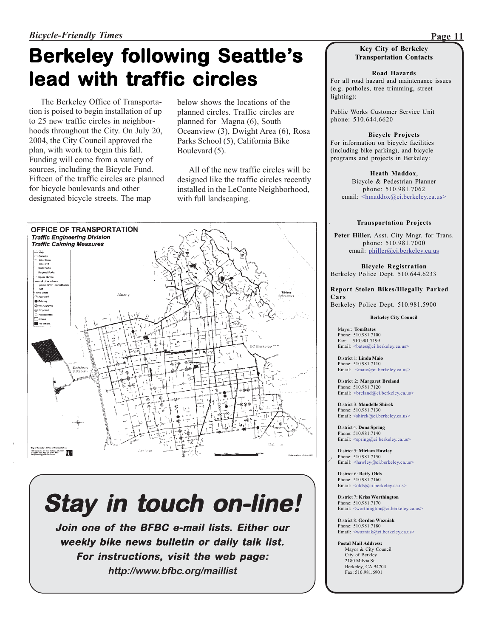# **Berkeley following Seattle's lead with traffic circles**

The Berkeley Office of Transportation is poised to begin installation of up to 25 new traffic circles in neighborhoods throughout the City. On July 20, 2004, the City Council approved the plan, with work to begin this fall. Funding will come from a variety of sources, including the Bicycle Fund. Fifteen of the traffic circles are planned for bicycle boulevards and other designated bicycle streets. The map

below shows the locations of the planned circles. Traffic circles are planned for Magna (6), South Oceanview (3), Dwight Area (6), Rosa Parks School (5), California Bike Boulevard (5).

All of the new traffic circles will be designed like the traffic circles recently installed in the LeConte Neighborhood, with full landscaping.



# *Stay in touch on-line!*

**Join one of one of the BFBC e-mail lists. Either our weekly bike news bulletin or daily talk list. For instructions, visit the web page: http://www.bfbc.org/maillist**

#### **Key City of Berkeley Transportation Contacts**

**Road Hazards** For all road hazard and maintenance issues (e.g. potholes, tree trimming, street lighting):

Public Works Customer Service Unit phone: 510.644.6620

**Bicycle Projects** For information on bicycle facilities (including bike parking), and bicycle programs and projects in Berkeley:

**Heath Maddox**, Bicycle & Pedestrian Planner phone: 510.981.7062 email: <hmaddox@ci.berkeley.ca.us>

#### **Transportation Projects**

**Peter Hiller,** Asst. City Mngr. for Trans. phone: 510.981.7000 email: philler@ci.berkeley.ca.us

**Bicycle Registration** Berkeley Police Dept. 510.644.6233

**Report Stolen Bikes/Illegally Parked Cars** Berkeley Police Dept. 510.981.5900

**Berkeley City Council**

Mayor: **TomBates** Phone: 510.981.7100 Fax: 510.981.7199 Email: <bates@ci.berkeley.ca.us>

District 1: **Linda Maio** Phone: 510.981.7110 Email: <maio@ci.berkeley.ca.us>

District 2: **Margaret Breland** Phone: 510.981.7120 Email:  $\langle \text{breland}(\omega_c) \rangle$ .berkeley.ca.us>

District 3: **Maudelle Shirek** Phone: 510.981.7130 Email: <shirek@ci.berkeley.ca.us>

District 4: **Dona Spring** Phone: 510.981.7140 Email: <spring@ci.berkeley.ca.us>

District 5: **Miriam Hawley** Phone: 510.981.7150 Email: <hawley@ci.berkeley.ca.us>

District 6: **Betty Olds** Phone: 510.981.7160 Email: <br/> <olds@ci.berkeley.ca.us>

District 7: **Kriss Worthington** Phone: 510.981.7170 Email: <worthington@ci.berkeley.ca.us>

District 8: **Gordon Wozniak** Phone: 510.981.7180 Email: <wozniak@ci.berkeley.ca.us>

**Postal Mail Address:** Mayor & City Council City of Berkley 2180 Milvia St. Berkeley, CA 94704 Fax: 510.981.6901